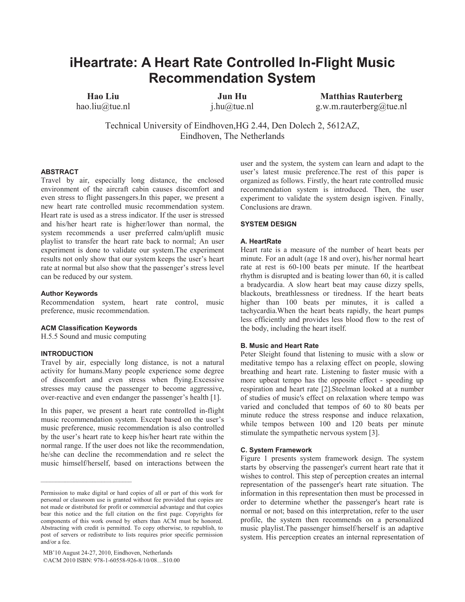# **iHeartrate: A Heart Rate Controlled In-Flight Music Recommendation System**

**Hao Liu**  hao.liu@tue.nl

**Jun Hu**  j.hu@tue.nl

**Matthias Rauterberg**  g.w.m.rauterberg@tue.nl

Technical University of Eindhoven,HG 2.44, Den Dolech 2, 5612AZ, Eindhoven, The Netherlands

# **ABSTRACT**

Travel by air, especially long distance, the enclosed environment of the aircraft cabin causes discomfort and even stress to flight passengers.In this paper, we present a new heart rate controlled music recommendation system. Heart rate is used as a stress indicator. If the user is stressed and his/her heart rate is higher/lower than normal, the system recommends a user preferred calm/uplift music playlist to transfer the heart rate back to normal; An user experiment is done to validate our system.The experiment results not only show that our system keeps the user's heart rate at normal but also show that the passenger's stress level can be reduced by our system.

## **Author Keywords**

Recommendation system, heart rate control, music preference, music recommendation.

#### **ACM Classification Keywords**

H.5.5 Sound and music computing

## **INTRODUCTION**

Travel by air, especially long distance, is not a natural activity for humans.Many people experience some degree of discomfort and even stress when flying.Excessive stresses may cause the passenger to become aggressive, over-reactive and even endanger the passenger's health [1].

In this paper, we present a heart rate controlled in-flight music recommendation system. Except based on the user's music preference, music recommendation is also controlled by the user's heart rate to keep his/her heart rate within the normal range. If the user does not like the recommendation, he/she can decline the recommendation and re select the music himself/herself, based on interactions between the

MB'10 August 24-27, 2010, Eindhoven, Netherlands ©ACM 2010 ISBN: 978-1-60558-926-8/10/08…\$10.00 user and the system, the system can learn and adapt to the user's latest music preference.The rest of this paper is organized as follows. Firstly, the heart rate controlled music recommendation system is introduced. Then, the user experiment to validate the system design isgiven. Finally, Conclusions are drawn.

#### **SYSTEM DESIGN**

#### **A. HeartRate**

Heart rate is a measure of the number of heart beats per minute. For an adult (age 18 and over), his/her normal heart rate at rest is 60-100 beats per minute. If the heartbeat rhythm is disrupted and is beating lower than 60, it is called a bradycardia. A slow heart beat may cause dizzy spells, blackouts, breathlessness or tiredness. If the heart beats higher than 100 beats per minutes, it is called a tachycardia.When the heart beats rapidly, the heart pumps less efficiently and provides less blood flow to the rest of the body, including the heart itself.

#### **B. Music and Heart Rate**

Peter Sleight found that listening to music with a slow or meditative tempo has a relaxing effect on people, slowing breathing and heart rate. Listening to faster music with a more upbeat tempo has the opposite effect - speeding up respiration and heart rate [2].Steelman looked at a number of studies of music's effect on relaxation where tempo was varied and concluded that tempos of 60 to 80 beats per minute reduce the stress response and induce relaxation, while tempos between 100 and 120 beats per minute stimulate the sympathetic nervous system [3].

#### **C. System Framework**

Figure 1 presents system framework design. The system starts by observing the passenger's current heart rate that it wishes to control. This step of perception creates an internal representation of the passenger's heart rate situation. The information in this representation then must be processed in order to determine whether the passenger's heart rate is normal or not; based on this interpretation, refer to the user profile, the system then recommends on a personalized music playlist.The passenger himself/herself is an adaptive system. His perception creates an internal representation of

Permission to make digital or hard copies of all or part of this work for personal or classroom use is granted without fee provided that copies are not made or distributed for profit or commercial advantage and that copies bear this notice and the full citation on the first page. Copyrights for components of this work owned by others than ACM must be honored. Abstracting with credit is permitted. To copy otherwise, to republish, to post of servers or redistribute to lists requires prior specific permission and/or a fee.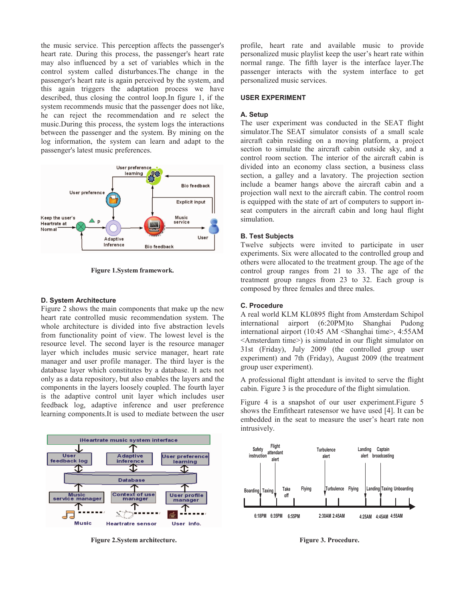the music service. This perception affects the passenger's heart rate. During this process, the passenger's heart rate may also influenced by a set of variables which in the control system called disturbances.The change in the passenger's heart rate is again perceived by the system, and this again triggers the adaptation process we have described, thus closing the control loop.In figure 1, if the system recommends music that the passenger does not like, he can reject the recommendation and re select the music.During this process, the system logs the interactions between the passenger and the system. By mining on the log information, the system can learn and adapt to the passenger's latest music preferences.



**Figure 1.System framework.** 

### **D. System Architecture**

Figure 2 shows the main components that make up the new heart rate controlled music recommendation system. The whole architecture is divided into five abstraction levels from functionality point of view. The lowest level is the resource level. The second layer is the resource manager layer which includes music service manager, heart rate manager and user profile manager. The third layer is the database layer which constitutes by a database. It acts not only as a data repository, but also enables the layers and the components in the layers loosely coupled. The fourth layer is the adaptive control unit layer which includes user feedback log, adaptive inference and user preference learning components.It is used to mediate between the user



**Figure 2.System architecture.** 

profile, heart rate and available music to provide personalized music playlist keep the user's heart rate within normal range. The fifth layer is the interface layer.The passenger interacts with the system interface to get personalized music services.

# **USER EXPERIMENT**

#### **A. Setup**

The user experiment was conducted in the SEAT flight simulator.The SEAT simulator consists of a small scale aircraft cabin residing on a moving platform, a project section to simulate the aircraft cabin outside sky, and a control room section. The interior of the aircraft cabin is divided into an economy class section, a business class section, a galley and a lavatory. The projection section include a beamer hangs above the aircraft cabin and a projection wall next to the aircraft cabin. The control room is equipped with the state of art of computers to support inseat computers in the aircraft cabin and long haul flight simulation.

## **B. Test Subjects**

Twelve subjects were invited to participate in user experiments. Six were allocated to the controlled group and others were allocated to the treatment group. The age of the control group ranges from 21 to 33. The age of the treatment group ranges from 23 to 32. Each group is composed by three females and three males.

# **C. Procedure**

A real world KLM KL0895 flight from Amsterdam Schipol international airport (6:20PM)to Shanghai Pudong international airport (10:45 AM <Shanghai time>, 4:55AM <Amsterdam time>) is simulated in our flight simulator on 31st (Friday), July 2009 (the controlled group user experiment) and 7th (Friday), August 2009 (the treatment group user experiment).

A professional flight attendant is invited to serve the flight cabin. Figure 3 is the procedure of the flight simulation.

Figure 4 is a snapshot of our user experiment.Figure 5 shows the Emfitheart ratesensor we have used [4]. It can be embedded in the seat to measure the user's heart rate non intrusively.



**Figure 3. Procedure.**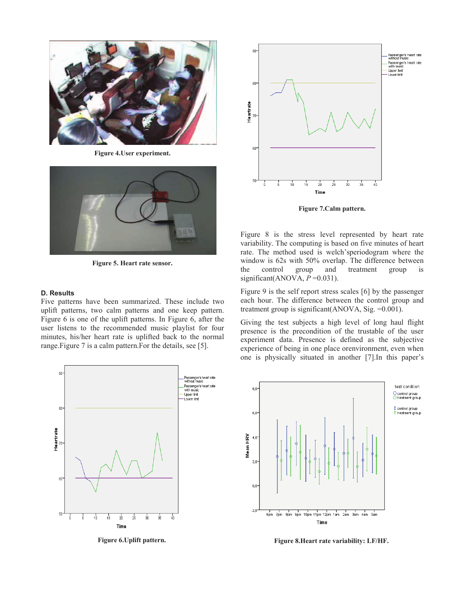

**Figure 4.User experiment.** 



**Figure 5. Heart rate sensor.** 

## **D. Results**

Five patterns have been summarized. These include two uplift patterns, two calm patterns and one keep pattern. Figure 6 is one of the uplift patterns. In Figure 6, after the user listens to the recommended music playlist for four minutes, his/her heart rate is uplifted back to the normal range.Figure 7 is a calm pattern.For the details, see [5].





**Figure 7.Calm pattern.** 

Figure 8 is the stress level represented by heart rate variability. The computing is based on five minutes of heart rate. The method used is welch'speriodogram where the window is 62s with 50% overlap. The difference between the control group and treatment group is significant(ANOVA,  $P = 0.031$ ).

Figure 9 is the self report stress scales [6] by the passenger each hour. The difference between the control group and treatment group is significant(ANOVA, Sig. = 0.001).

Giving the test subjects a high level of long haul flight presence is the precondition of the trustable of the user experiment data. Presence is defined as the subjective experience of being in one place orenvironment, even when one is physically situated in another [7].In this paper's



**Figure 6.Uplift pattern. Figure 8.Heart rate variability: LF/HF.**